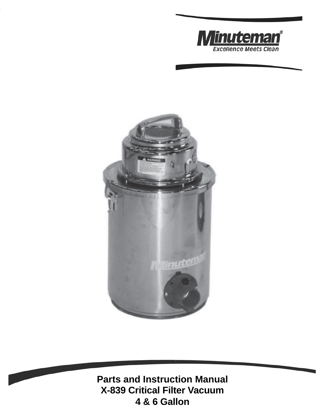



**Parts and Instruction Manual X-839 Critical Filter Vacuum 4 & 6 Gallon**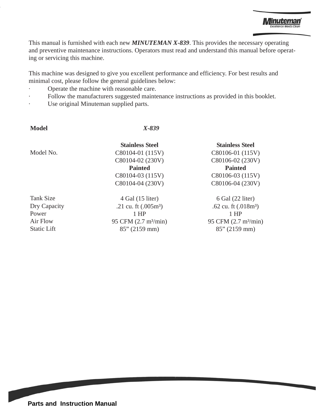This manual is furnished with each new *MINUTEMAN X-839*. This provides the necessary operating and preventive maintenance instructions. Operators must read and understand this manual before operating or servicing this machine.

This machine was designed to give you excellent performance and efficiency. For best results and minimal cost, please follow the general guidelines below:

- Operate the machine with reasonable care.
- Follow the manufacturers suggested maintenance instructions as provided in this booklet.
- Use original Minuteman supplied parts.

 **Model** *X-839*

Model No.

Tank Size Dry Capacity Power Air Flow Static Lift

C80104-01 (115V) C80104-02 (230V) **Painted** C80104-03 (115V) C80104-04 (230V)

**Stainless Steel**

4 Gal (15 liter) .21 cu. ft (.005m³) 1 HP 95 CFM (2.7 m<sup>3</sup>/min) 85" (2159 mm)

#### **Stainless Steel**

C80106-01 (115V) C80106-02 (230V) **Painted** C80106-03 (115V) C80106-04 (230V)

6 Gal (22 liter) .62 cu. ft (.018m³) 1 HP 95 CFM (2.7 m<sup>3</sup>/min) 85" (2159 mm)

**Parts and Instruction Manual**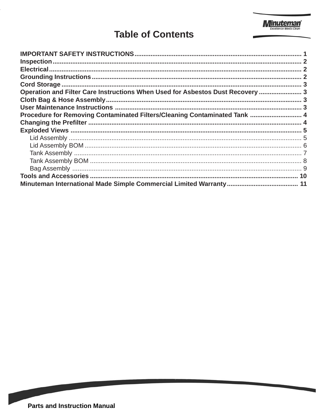

# **Table of Contents**

| Operation and Filter Care Instructions When Used for Asbestos Dust Recovery  3 |  |
|--------------------------------------------------------------------------------|--|
|                                                                                |  |
|                                                                                |  |
| Procedure for Removing Contaminated Filters/Cleaning Contaminated Tank  4      |  |
|                                                                                |  |
|                                                                                |  |
|                                                                                |  |
|                                                                                |  |
|                                                                                |  |
|                                                                                |  |
|                                                                                |  |
|                                                                                |  |
|                                                                                |  |

**Contract Contract Contract Contract Contract Contract Contract Contract Contract Contract Contract Contract Co**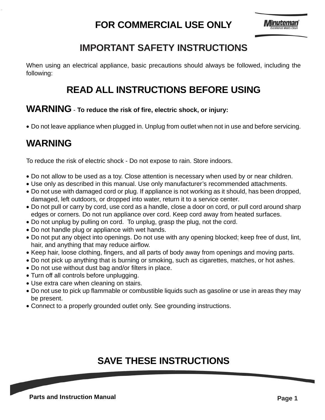# **FOR COMMERCIAL USE ONLY**

# **IMPORTANT SAFETY INSTRUCTIONS**

When using an electrical appliance, basic precautions should always be followed, including the following:

## **READ ALL INSTRUCTIONS BEFORE USING**

## **WARNING** - **To reduce the risk of fire, electric shock, or injury:**

• Do not leave appliance when plugged in. Unplug from outlet when not in use and before servicing.

# **WARNING**

To reduce the risk of electric shock - Do not expose to rain. Store indoors.

- Do not allow to be used as a toy. Close attention is necessary when used by or near children.
- Use only as described in this manual. Use only manufacturer's recommended attachments.
- Do not use with damaged cord or plug. If appliance is not working as it should, has been dropped, damaged, left outdoors, or dropped into water, return it to a service center.
- Do not pull or carry by cord, use cord as a handle, close a door on cord, or pull cord around sharp edges or corners. Do not run appliance over cord. Keep cord away from heated surfaces.
- Do not unplug by pulling on cord. To unplug, grasp the plug, not the cord.
- Do not handle plug or appliance with wet hands.
- Do not put any object into openings. Do not use with any opening blocked; keep free of dust, lint, hair, and anything that may reduce airflow.
- Keep hair, loose clothing, fingers, and all parts of body away from openings and moving parts.
- Do not pick up anything that is burning or smoking, such as cigarettes, matches, or hot ashes.
- Do not use without dust bag and/or filters in place.
- Turn off all controls before unplugging.
- Use extra care when cleaning on stairs.
- Do not use to pick up flammable or combustible liquids such as gasoline or use in areas they may be present.
- Connect to a properly grounded outlet only. See grounding instructions.

# **SAVE THESE INSTRUCTIONS**

**Parts and Instruction Manual Page 1**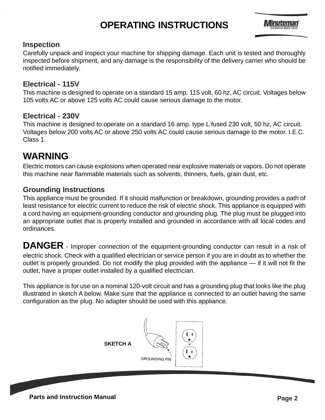# **OPERATING INSTRUCTIONS**



#### **Inspection**

Carefully unpack and inspect your machine for shipping damage. Each unit is tested and thoroughly inspected before shipment, and any damage is the responsibility of the delivery carrier who should be notified immediately.

### **Electrical - 115V**

This machine is designed to operate on a standard 15 amp. 115 volt, 60 hz, AC circuit. Voltages below 105 volts AC or above 125 volts AC could cause serious damage to the motor.

### **Electrical - 230V**

This machine is designed to operate on a standard 16 amp. type L fused 230 volt, 50 hz, AC circuit. Voltages below 200 volts AC or above 250 volts AC could cause serious damage to the motor. I.E.C. Class 1.

# **WARNING**

Electric motors can cause explosions when operated near explosive materials or vapors. Do not operate this machine near flammable materials such as solvents, thinners, fuels, grain dust, etc.

### **Grounding Instructions**

This appliance must be grounded. If it should malfunction or breakdown, grounding provides a path of least resistance for electric current to reduce the risk of electric shock. This appliance is equipped with a cord having an equipment-grounding conductor and grounding plug. The plug must be plugged into an appropriate outlet that is properly installed and grounded in accordance with all local codes and ordinances.

**DANGER** - Improper connection of the equipment-grounding conductor can result in a risk of electric shock. Check with a qualified electrician or service person if you are in doubt as to whether the outlet is properly grounded. Do not modify the plug provided with the appliance — if it will not fit the outlet, have a proper outlet installed by a qualified electrician.

This appliance is for use on a nominal 120-volt circuit and has a grounding plug that looks like the plug illustrated in sketch A below. Make sure that the appliance is connected to an outlet having the same configuration as the plug. No adapter should be used with this appliance.



**Parts and Instruction Manual Page 2 Page 2**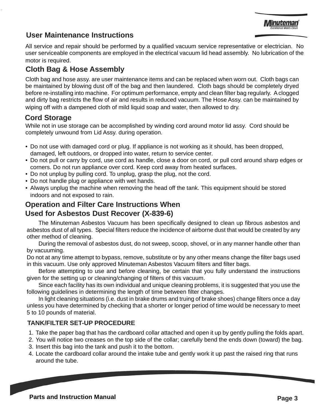## **User Maintenance Instructions**

All service and repair should be performed by a qualified vacuum service representative or electrician. No user serviceable components are employed in the electrical vacuum lid head assembly. No lubrication of the motor is required.

### **Cloth Bag & Hose Assembly**

Cloth bag and hose assy. are user maintenance items and can be replaced when worn out. Cloth bags can be maintained by blowing dust off of the bag and then laundered. Cloth bags should be completely dryed before re-installing into machine. For optimum performance, empty and clean filter bag regularly. A clogged and dirty bag restricts the flow of air and results in reduced vacuum. The Hose Assy. can be maintained by wiping off with a dampened cloth of mild liquid soap and water, then allowed to dry.

## **Cord Storage**

While not in use storage can be accomplished by winding cord around motor lid assy. Cord should be completely unwound from Lid Assy. during operation.

- Do not use with damaged cord or plug. If appliance is not working as it should, has been dropped, damaged, left outdoors, or dropped into water, return to service center.
- Do not pull or carry by cord, use cord as handle, close a door on cord, or pull cord around sharp edges or corners. Do not run appliance over cord. Keep cord away from heated surfaces.
- Do not unplug by pulling cord. To unplug, grasp the plug, not the cord.
- Do not handle plug or appliance with wet hands.
- Always unplug the machine when removing the head off the tank. This equipment should be stored indoors and not exposed to rain.

## **Operation and Filter Care Instructions When Used for Asbestos Dust Recover (X-839-6)**

The Minuteman Asbestos Vacuum has been specifically designed to clean up fibrous asbestos and asbestos dust of all types. Special filters reduce the incidence of airborne dust that would be created by any other method of cleaning.

During the removal of asbestos dust, do not sweep, scoop, shovel, or in any manner handle other than by vacuuming.

Do not at any time attempt to bypass, remove, substitute or by any other means change the filter bags used in this vacuum. Use only approved Minuteman Asbestos Vacuum filters and filter bags.

Before attempting to use and before cleaning, be certain that you fully understand the instructions given for the setting up or cleaning/changing of filters of this vacuum.

Since each facility has its own individual and unique cleaning problems, it is suggested that you use the following guidelines in determining the length of time between filter changes.

In light cleaning situations (i.e. dust in brake drums and truing of brake shoes) change filters once a day unless you have determined by checking that a shorter or longer period of time would be necessary to meet 5 to 10 pounds of material.

### **TANK/FILTER SET-UP PROCEDURE**

- 1. Take the paper bag that has the cardboard collar attached and open it up by gently pulling the folds apart.
- 2. You will notice two creases on the top side of the collar; carefully bend the ends down (toward) the bag.
- 3. Insert this bag into the tank and push it to the bottom.
- 4. Locate the cardboard collar around the intake tube and gently work it up past the raised ring that runs around the tube.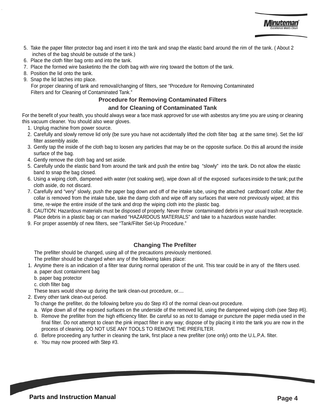- 5. Take the paper filter protector bag and insert it into the tank and snap the elastic band around the rim of the tank. ( About 2 inches of the bag should be outside of the tank.)
- 6. Place the cloth filter bag onto and into the tank.
- 7. Place the formed wire basketinto the the cloth bag with wire ring toward the bottom of the tank.
- 8. Position the lid onto the tank.
- 9. Snap the lid latches into place.

 For proper cleaning of tank and removal/changing of filters, see "Procedure for Removing Contaminated Filters and for Cleaning of Contaminated Tank."

#### **Procedure for Removing Contaminated Filters**

#### **and for Cleaning of Contaminated Tank**

For the benefit of your health, you should always wear a face mask approved for use with asbestos any time you are using or cleaning this vacuum cleaner. You should also wear gloves.

- 1. Unplug machine from power source.
- 2. Carefully and slowly remove lid only (be sure you have not accidentally lifted the cloth filter bag at the same time). Set the lid/ filter assembly aside.
- 3. Gently tap the inside of the cloth bag to loosen any particles that may be on the opposite surface. Do this all around the inside surface of the bag.
- 4. Gently remove the cloth bag and set aside.
- 5. Carefully undo the elastic band from around the tank and push the entire bag "slowly" into the tank. Do not allow the elastic band to snap the bag closed.
- 6. Using a wiping cloth, dampened with water (not soaking wet), wipe down all of the exposed surfaces inside to the tank; put the cloth aside, do not discard.
- 7. Carefully and "very" slowly, push the paper bag down and off of the intake tube, using the attached cardboard collar. After the collar is removed from the intake tube, take the damp cloth and wipe off any surfaces that were not previously wiped; at this time, re-wipe the entire inside of the tank and drop the wiping cloth into the plastic bag.
- 8. CAUTION: Hazardous materials must be disposed of properly. Never throw contaminated debris in your usual trash receptacle. Place debris in a plastic bag or can marked "HAZARDOUS MATERIALS" and take to a hazardous waste handler.
- 9. For proper assembly of new filters, see "Tank/Filter Set-Up Procedure."

#### **Changing The Prefilter**

The prefilter should be changed, using all of the precautions previously mentioned. The prefilter should be changed when any of the following takes place:

- 1. Anytime there is an indication of a filter tear during normal operation of the unit. This tear could be in any of the filters used. a. paper dust containment bag
	- b. paper bag protector
	-
	- c. cloth filter bag
	- These tears would show up during the tank clean-out procedure, or....
- 2. Every other tank clean-out period.
	- To change the prefilter, do the following before you do Step #3 of the normal clean-out procedure.
	- a. Wipe down all of the exposed surfaces on the underside of the removed lid, using the dampened wiping cloth (see Step #6).
	- b. Remove the prefilter from the high efficiency filter. Be careful so as not to damage or puncture the paper media used in the final filter. Do not attempt to clean the pink impact filter in any way; dispose of by placing it into the tank you are now in the process of cleaning. DO NOT USE ANY TOOLS TO REMOVE THE PREFILTER.
	- d. Before proceeding any further in cleaning the tank, first place a new prefilter (one only) onto the U.L.P.A. filter.
	- e. You may now proceed with Step #3.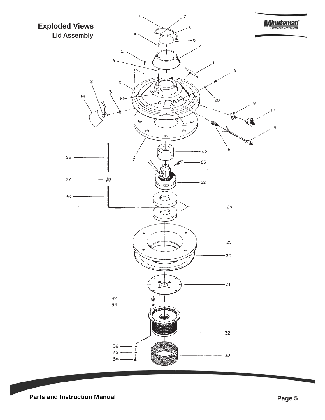

**Parts and Instruction Manual Page 5 Page 5**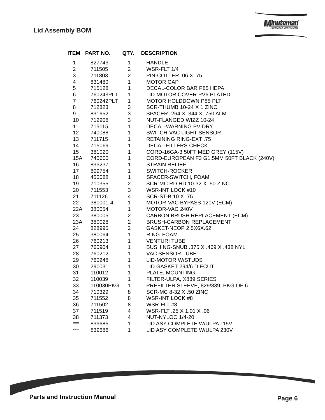J.

| <b>ITEM</b>      | PART NO.                                  | QTY.                                       | <b>DESCRIPTION</b>                                                                        |
|------------------|-------------------------------------------|--------------------------------------------|-------------------------------------------------------------------------------------------|
| 1                | 827743                                    | 1                                          | <b>HANDLE</b>                                                                             |
| $\overline{2}$   | 711505                                    |                                            | 2 WSR-FLT 1/4                                                                             |
| $\mathbf{3}$     | 711803                                    | $\overline{2}$                             | PIN-COTTER 06 X .75                                                                       |
| $\overline{4}$   | 831480                                    | $1 \qquad \qquad$                          | <b>MOTOR CAP</b>                                                                          |
| 5                | 715128                                    | $\overline{1}$                             | DECAL-COLOR BAR P85 HEPA                                                                  |
| 6                |                                           |                                            | LID-MOTOR COVER PV6 PLATED                                                                |
| $\overline{7}$   | $760243$ PLT 1<br>760242PLT 1<br>712823 3 |                                            | MOTOR HOLDDOWN P85 PLT                                                                    |
| 8                |                                           |                                            | SCR-THUMB 10-24 X 1 ZINC                                                                  |
| 9                | 831652                                    | 3 <sup>1</sup>                             | SPACER-.264 X .344 X .750 ALM                                                             |
| 10 <sup>°</sup>  | 712908                                    | 3 <sup>1</sup>                             | NUT-FLANGED WIZZ 10-24                                                                    |
| $11 -$           | 715115                                    |                                            | 1 DECAL-WARNING PV DRY                                                                    |
| 12               | 740088                                    |                                            | 1 SWITCH-VAC LIGHT SENSOR                                                                 |
| 13               | 711715                                    |                                            | 1 RETAINING RING-EXT .75                                                                  |
| 14               | 715069                                    |                                            | 1 DECAL-FILTERS CHECK                                                                     |
| 15 <sub>15</sub> | 381020                                    | $\begin{array}{c} 1 \\ 1 \\ 1 \end{array}$ | CORD-16GA-3 50FT MED GREY (115V)                                                          |
| <b>15A</b>       | 740600                                    |                                            | CORD-EUROPEAN F3 G1.5MM 50FT BLACK (240V)                                                 |
| 16               | 833237                                    | $1 \quad \blacksquare$                     | <b>STRAIN RELIEF</b>                                                                      |
| 17               | 809754                                    |                                            |                                                                                           |
| 18               | 450088                                    |                                            | SPACER-SWITCH, FOAM                                                                       |
| 19               | 710355                                    |                                            | SCR-MC RD HD 10-32 X .50 ZINC                                                             |
| 20               | 711553                                    |                                            | 1<br>SWITCH-ROCKER<br>1<br>SPACER-SWITCH, F<br>2<br>SCR-MC RD HD 10-3<br>WSR-INT LOCK #10 |
| 21               | 711126                                    | $4\overline{ }$                            | SCR-ST-B 10 X .75                                                                         |
| 22               | 380001-4 1                                |                                            | MOTOR-VAC BYPASS 120V (ECM)                                                               |
| 22A              | 380054                                    | $1 \quad \blacksquare$                     | MOTOR-VAC 240V                                                                            |
| 23               | 380005                                    | $\frac{2}{2}$                              | CARBON BRUSH REPLACEMENT (ECM)                                                            |
| 23A              | 380028                                    |                                            | BRUSH-CARBON REPLACEMENT                                                                  |
| 24               | 828995                                    | $\overline{2}$                             | GASKET-NEOP 2.5X6X.62                                                                     |
| 25               | 380064                                    | $1 \quad$                                  | RING, FOAM                                                                                |
| 26               | 760213                                    | $1 \qquad \qquad$                          | <b>VENTURI TUBE</b>                                                                       |
| 27               | 760904                                    | 1                                          | BUSHING-SNUB .375 X .469 X .438 NYL                                                       |
| 28               | 760212                                    | $1 \quad \blacksquare$                     | <b>VAC SENSOR TUBE</b>                                                                    |
| 29               | 760248                                    | $1 -$                                      | LID-MOTOR W/STUDS                                                                         |
| 30               | 290031                                    | 1                                          | LID GASKET 294/6 DIECUT                                                                   |
| 31               | 110012                                    | 1                                          | PLATE, MOUNTING                                                                           |
| 32               | 110039                                    | $\overline{1}$                             | FILTER-ULPA, X839 SERIES                                                                  |
| 33               | 110030PKG 1                               |                                            | PREFILTER SLEEVE, 829/839, PKG OF 6                                                       |
| 34               | 710329                                    | 8                                          | SCR-MC 8-32 X .50 ZINC                                                                    |
| 35               | 711552                                    | 8                                          | <b>WSR-INT LOCK #8</b>                                                                    |
| 36               | 711502                                    | 8                                          | WSR-FLT#8                                                                                 |
| 37               | 711519                                    | 4                                          | WSR-FLT .25 X 1.01 X .06                                                                  |
| 38               | 711373                                    | 4                                          | NUT-NYLOC 1/4-20                                                                          |
| ***              | 839685                                    | 1                                          | LID ASY COMPLETE W/ULPA 115V                                                              |
| ***              | 839686                                    | 1                                          | LID ASY COMPLETE W/ULPA 230V                                                              |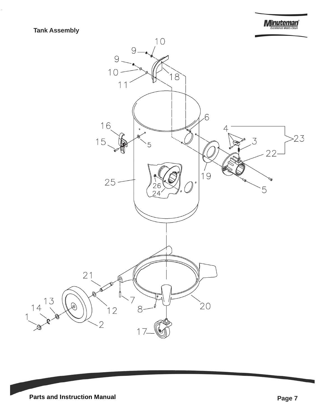

## **Tank Assembly**

 $\hat{\mathcal{L}}$ 

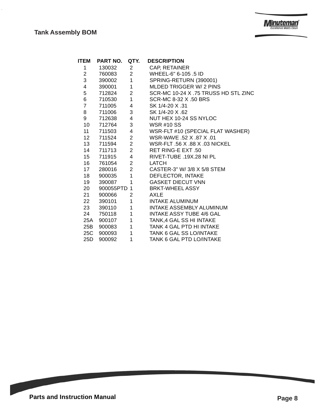$\hat{\mathcal{L}}$ 

| ITEM           | PART NO.    | QTY.            | <b>DESCRIPTION</b>                   |
|----------------|-------------|-----------------|--------------------------------------|
| 1              | 130032      | $\overline{2}$  | <b>CAP, RETAINER</b>                 |
| $\overline{2}$ | 760083      | $2^{\circ}$     | WHEEL-6" 6-105 .5 ID                 |
| 3              | 390002      | $\sim$ 1        | SPRING-RETURN (390001)               |
| 4              | 390001      | 1               | MLDED TRIGGER W/ 2 PINS              |
| 5              | 712824      | $2^{\circ}$     | SCR-MC 10-24 X .75 TRUSS HD STL ZINC |
| 6              | 710530      | 1               | SCR-MC 8-32 X .50 BRS                |
|                | 7 711005    | $4\overline{ }$ | SK 1/4-20 X .31                      |
| 8              | 711006 3    |                 | SK 1/4-20 X .62                      |
| 9              | 712638      | $4\overline{ }$ | NUT HEX 10-24 SS NYLOC               |
| 10             | 712764      | 3 <sup>7</sup>  | <b>WSR #10 SS</b>                    |
| 11             | 711503   4  |                 | WSR-FLT #10 (SPECIAL FLAT WASHER)    |
|                | 12  711524  | 2 <sup>7</sup>  | WSR-WAVE .52 X .87 X .01             |
|                | 13 711594   | $\overline{2}$  | WSR-FLT .56 X .88 X .03 NICKEL       |
| 14             | 711713 2    |                 | RET RING-E EXT .50                   |
|                | 15 711915   | $4\overline{ }$ | RIVET-TUBE .19X.28 NI PL             |
|                | 16  761054  | 2 <sup>1</sup>  | <b>LATCH</b>                         |
| 17             | 280016      | $\overline{2}$  | CASTER-3" W/ 3/8 X 5/8 STEM          |
| 18             | 900035      | 1               | DEFLECTOR, INTAKE                    |
| 19             | 390087      | 1               | <b>GASKET DIECUT VNN</b>             |
| 20             | 900055PTD 1 |                 | <b>BRKT-WHEEL ASSY</b>               |
| 21             | 900066      | $\mathbf{2}$    | AXLE                                 |
| 22             | 390101      | 1               | INTAKE ALUMINUM                      |
| 23             | 390110      | 1               | INTAKE ASSEMBLY ALUMINUM             |
|                | 24 750118   | 1               | <b>INTAKE ASSY TUBE 4/6 GAL</b>      |
|                | 25A 900107  | $\mathbf 1$     | TANK, 4 GAL SS HI INTAKE             |
| 25B            | 900083      | 1 <sub>1</sub>  | <b>TANK 4 GAL PTD HI INTAKE</b>      |
|                | 25C 900093  | 1               | <b>TANK 6 GAL SS LO/INTAKE</b>       |
| 25D.           | 900092      | 1               | TANK 6 GAL PTD LO/INTAKE             |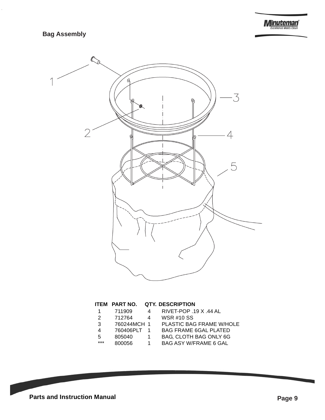

#### **ITEM PART NO. QTY. DESCRIPTION**

| 1  | 711909      | Δ              | RIVET-POP .19 X .44 AL       |
|----|-------------|----------------|------------------------------|
| 2  | 712764      | Δ              | <b>WSR #10 SS</b>            |
| 3  | 760244MCH 1 |                | PLASTIC BAG FRAME W/HOLE     |
| 4  | 760406PLT   | $\overline{1}$ | <b>BAG FRAME 6GAL PLATED</b> |
| 5. | 805040      | 1.             | BAG, CLOTH BAG ONLY 6G       |
|    |             |                |                              |

- 
- **GAL PLATED** AG ONLY 6G
- \*\*\* 800056 1 BAG ASY W/FRAME 6 GAL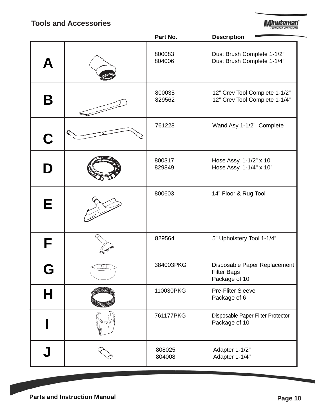## **Tools and Accessories**

 $\hat{\boldsymbol{\epsilon}}$ 

**Minuteman** 

|   | Part No.         | <b>Description</b>                                                  |
|---|------------------|---------------------------------------------------------------------|
| Д | 800083<br>804006 | Dust Brush Complete 1-1/2"<br>Dust Brush Complete 1-1/4"            |
| Β | 800035<br>829562 | 12" Crev Tool Complete 1-1/2"<br>12" Crev Tool Complete 1-1/4"      |
| C | 761228           | Wand Asy 1-1/2" Complete                                            |
| D | 800317<br>829849 | Hose Assy. 1-1/2" x 10'<br>Hose Assy. 1-1/4" x 10'                  |
| E | 800603           | 14" Floor & Rug Tool                                                |
| F | 829564           | 5" Upholstery Tool 1-1/4"                                           |
|   | 384003PKG        | Disposable Paper Replacement<br><b>Filter Bags</b><br>Package of 10 |
| Н | 110030PKG        | <b>Pre-Fliter Sleeve</b><br>Package of 6                            |
|   | 761177PKG        | Disposable Paper Filter Protector<br>Package of 10                  |
|   | 808025<br>804008 | Adapter 1-1/2"<br>Adapter 1-1/4"                                    |